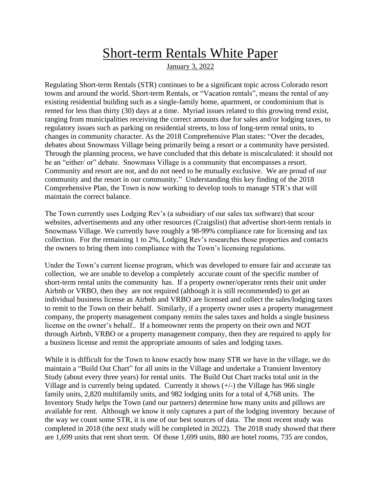# Short-term Rentals White Paper

January 3, 2022

Regulating Short-term Rentals (STR) continues to be a significant topic across Colorado resort towns and around the world. Short-term Rentals, or "Vacation rentals", means the rental of any existing residential building such as a single-family home, apartment, or condominium that is rented for less than thirty (30) days at a time. Myriad issues related to this growing trend exist, ranging from municipalities receiving the correct amounts due for sales and/or lodging taxes, to regulatory issues such as parking on residential streets, to loss of long-term rental units, to changes in community character. As the 2018 Comprehensive Plan states: "Over the decades, debates about Snowmass Village being primarily being a resort or a community have persisted. Through the planning process, we have concluded that this debate is miscalculated: it should not be an "either/ or" debate. Snowmass Village is a community that encompasses a resort. Community and resort are not, and do not need to be mutually exclusive. We are proud of our community and the resort in our community." Understanding this key finding of the 2018 Comprehensive Plan, the Town is now working to develop tools to manage STR's that will maintain the correct balance.

The Town currently uses Lodging Rev's (a subsidiary of our sales tax software) that scour websites, advertisements and any other resources (Craigslist) that advertise short-term rentals in Snowmass Village. We currently have roughly a 98-99% compliance rate for licensing and tax collection. For the remaining 1 to 2%, Lodging Rev's researches those properties and contacts the owners to bring them into compliance with the Town's licensing regulations.

Under the Town's current license program, which was developed to ensure fair and accurate tax collection, we are unable to develop a completely accurate count of the specific number of short-term rental units the community has. If a property owner/operator rents their unit under Airbnb or VRBO, then they are not required (although it is still recommended) to get an individual business license as Airbnb and VRBO are licensed and collect the sales/lodging taxes to remit to the Town on their behalf. Similarly, if a property owner uses a property management company, the property management company remits the sales taxes and holds a single business license on the owner's behalf.. If a homeowner rents the property on their own and NOT through Airbnb, VRBO or a property management company, then they are required to apply for a business license and remit the appropriate amounts of sales and lodging taxes.

While it is difficult for the Town to know exactly how many STR we have in the village, we do maintain a "Build Out Chart" for all units in the Village and undertake a Transient Inventory Study (about every three years) for rental units. The Build Out Chart tracks total unit in the Village and is currently being updated. Currently it shows  $(+/-)$  the Village has 966 single family units, 2,820 multifamily units, and 982 lodging units for a total of 4,768 units. The Inventory Study helps the Town (and our partners) determine how many units and pillows are available for rent. Although we know it only captures a part of the lodging inventory because of the way we count some STR, it is one of our best sources of data. The most recent study was completed in 2018 (the next study will be completed in 2022). The 2018 study showed that there are 1,699 units that rent short term. Of those 1,699 units, 880 are hotel rooms, 735 are condos,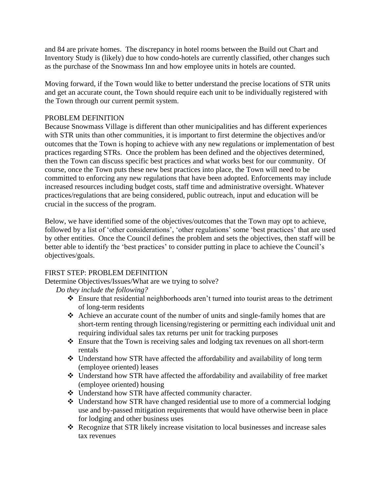and 84 are private homes. The discrepancy in hotel rooms between the Build out Chart and Inventory Study is (likely) due to how condo-hotels are currently classified, other changes such as the purchase of the Snowmass Inn and how employee units in hotels are counted.

Moving forward, if the Town would like to better understand the precise locations of STR units and get an accurate count, the Town should require each unit to be individually registered with the Town through our current permit system.

#### PROBLEM DEFINITION

Because Snowmass Village is different than other municipalities and has different experiences with STR units than other communities, it is important to first determine the objectives and/or outcomes that the Town is hoping to achieve with any new regulations or implementation of best practices regarding STRs. Once the problem has been defined and the objectives determined, then the Town can discuss specific best practices and what works best for our community. Of course, once the Town puts these new best practices into place, the Town will need to be committed to enforcing any new regulations that have been adopted. Enforcements may include increased resources including budget costs, staff time and administrative oversight. Whatever practices/regulations that are being considered, public outreach, input and education will be crucial in the success of the program.

Below, we have identified some of the objectives/outcomes that the Town may opt to achieve, followed by a list of 'other considerations', 'other regulations' some 'best practices' that are used by other entities. Once the Council defines the problem and sets the objectives, then staff will be better able to identify the 'best practices' to consider putting in place to achieve the Council's objectives/goals.

#### FIRST STEP: PROBLEM DEFINITION

Determine Objectives/Issues/What are we trying to solve?

*Do they include the following?*

- ❖ Ensure that residential neighborhoods aren't turned into tourist areas to the detriment of long-term residents
- ❖ Achieve an accurate count of the number of units and single-family homes that are short-term renting through licensing/registering or permitting each individual unit and requiring individual sales tax returns per unit for tracking purposes
- ❖ Ensure that the Town is receiving sales and lodging tax revenues on all short-term rentals
- ❖ Understand how STR have affected the affordability and availability of long term (employee oriented) leases
- ❖ Understand how STR have affected the affordability and availability of free market (employee oriented) housing
- ❖ Understand how STR have affected community character.
- ❖ Understand how STR have changed residential use to more of a commercial lodging use and by-passed mitigation requirements that would have otherwise been in place for lodging and other business uses
- ❖ Recognize that STR likely increase visitation to local businesses and increase sales tax revenues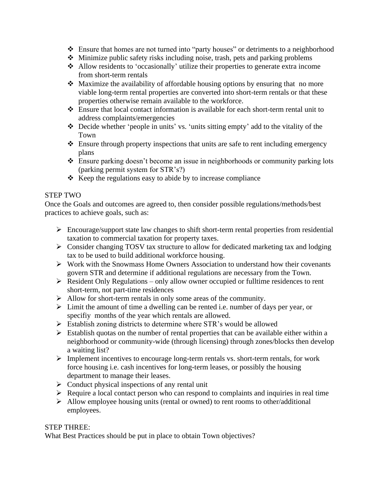- ❖ Ensure that homes are not turned into "party houses" or detriments to a neighborhood
- ❖ Minimize public safety risks including noise, trash, pets and parking problems
- ❖ Allow residents to 'occasionally' utilize their properties to generate extra income from short-term rentals
- ❖ Maximize the availability of affordable housing options by ensuring that no more viable long-term rental properties are converted into short-term rentals or that these properties otherwise remain available to the workforce.
- ❖ Ensure that local contact information is available for each short-term rental unit to address complaints/emergencies
- ❖ Decide whether 'people in units' vs. 'units sitting empty' add to the vitality of the Town
- ❖ Ensure through property inspections that units are safe to rent including emergency plans
- ❖ Ensure parking doesn't become an issue in neighborhoods or community parking lots (parking permit system for STR's?)
- ❖ Keep the regulations easy to abide by to increase compliance

### STEP TWO

Once the Goals and outcomes are agreed to, then consider possible regulations/methods/best practices to achieve goals, such as:

- ➢ Encourage/support state law changes to shift short-term rental properties from residential taxation to commercial taxation for property taxes.
- ➢ Consider changing TOSV tax structure to allow for dedicated marketing tax and lodging tax to be used to build additional workforce housing.
- ➢ Work with the Snowmass Home Owners Association to understand how their covenants govern STR and determine if additional regulations are necessary from the Town.
- $\triangleright$  Resident Only Regulations only allow owner occupied or fulltime residences to rent short-term, not part-time residences
- ➢ Allow for short-term rentals in only some areas of the community.
- ➢ Limit the amount of time a dwelling can be rented i.e. number of days per year, or specifiy months of the year which rentals are allowed.
- ➢ Establish zoning districts to determine where STR's would be allowed
- $\triangleright$  Establish quotas on the number of rental properties that can be available either within a neighborhood or community-wide (through licensing) through zones/blocks then develop a waiting list?
- ➢ Implement incentives to encourage long-term rentals vs. short-term rentals, for work force housing i.e. cash incentives for long-term leases, or possibly the housing department to manage their leases.
- $\triangleright$  Conduct physical inspections of any rental unit
- ➢ Require a local contact person who can respond to complaints and inquiries in real time
- $\triangleright$  Allow employee housing units (rental or owned) to rent rooms to other/additional employees.

#### STEP THREE:

What Best Practices should be put in place to obtain Town objectives?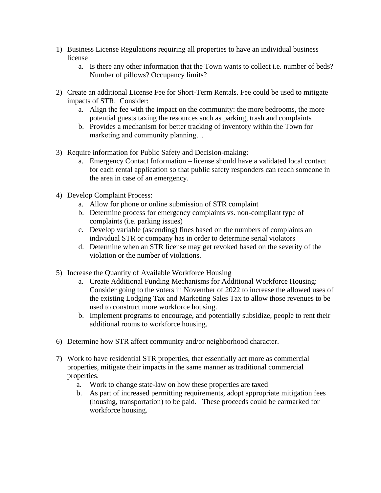- 1) Business License Regulations requiring all properties to have an individual business license
	- a. Is there any other information that the Town wants to collect i.e. number of beds? Number of pillows? Occupancy limits?
- 2) Create an additional License Fee for Short-Term Rentals. Fee could be used to mitigate impacts of STR. Consider:
	- a. Align the fee with the impact on the community: the more bedrooms, the more potential guests taxing the resources such as parking, trash and complaints
	- b. Provides a mechanism for better tracking of inventory within the Town for marketing and community planning…
- 3) Require information for Public Safety and Decision-making:
	- a. Emergency Contact Information license should have a validated local contact for each rental application so that public safety responders can reach someone in the area in case of an emergency.
- 4) Develop Complaint Process:
	- a. Allow for phone or online submission of STR complaint
	- b. Determine process for emergency complaints vs. non-compliant type of complaints (i.e. parking issues)
	- c. Develop variable (ascending) fines based on the numbers of complaints an individual STR or company has in order to determine serial violators
	- d. Determine when an STR license may get revoked based on the severity of the violation or the number of violations.
- 5) Increase the Quantity of Available Workforce Housing
	- a. Create Additional Funding Mechanisms for Additional Workforce Housing: Consider going to the voters in November of 2022 to increase the allowed uses of the existing Lodging Tax and Marketing Sales Tax to allow those revenues to be used to construct more workforce housing.
	- b. Implement programs to encourage, and potentially subsidize, people to rent their additional rooms to workforce housing.
- 6) Determine how STR affect community and/or neighborhood character.
- 7) Work to have residential STR properties, that essentially act more as commercial properties, mitigate their impacts in the same manner as traditional commercial properties.
	- a. Work to change state-law on how these properties are taxed
	- b. As part of increased permitting requirements, adopt appropriate mitigation fees (housing, transportation) to be paid. These proceeds could be earmarked for workforce housing.